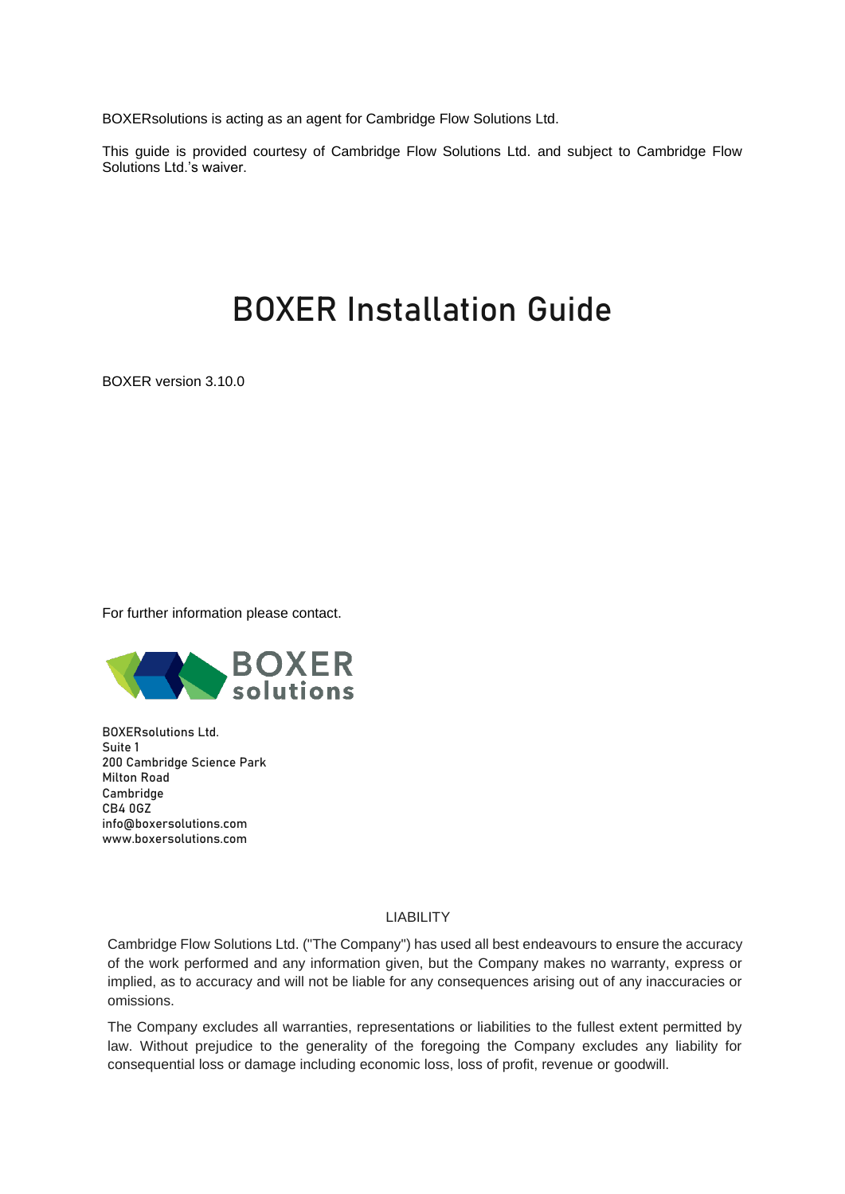BOXERsolutions is acting as an agent for Cambridge Flow Solutions Ltd.

This guide is provided courtesy of Cambridge Flow Solutions Ltd. and subject to Cambridge Flow Solutions Ltd.'s waiver.

# BOXER Installation Guide

BOXER version 3.10.0

For further information please contact.



BOXERsolutions Ltd. Suite 1 200 Cambridge Science Park Milton Road Cambridge CB4 0GZ [info@boxersolutions.com](mailto:info@boxersolutions.com) [www.boxersolutions.com](http://www.boxersolutions.com/)

# LIABILITY

Cambridge Flow Solutions Ltd. ("The Company") has used all best endeavours to ensure the accuracy of the work performed and any information given, but the Company makes no warranty, express or implied, as to accuracy and will not be liable for any consequences arising out of any inaccuracies or omissions.

The Company excludes all warranties, representations or liabilities to the fullest extent permitted by law. Without prejudice to the generality of the foregoing the Company excludes any liability for consequential loss or damage including economic loss, loss of profit, revenue or goodwill.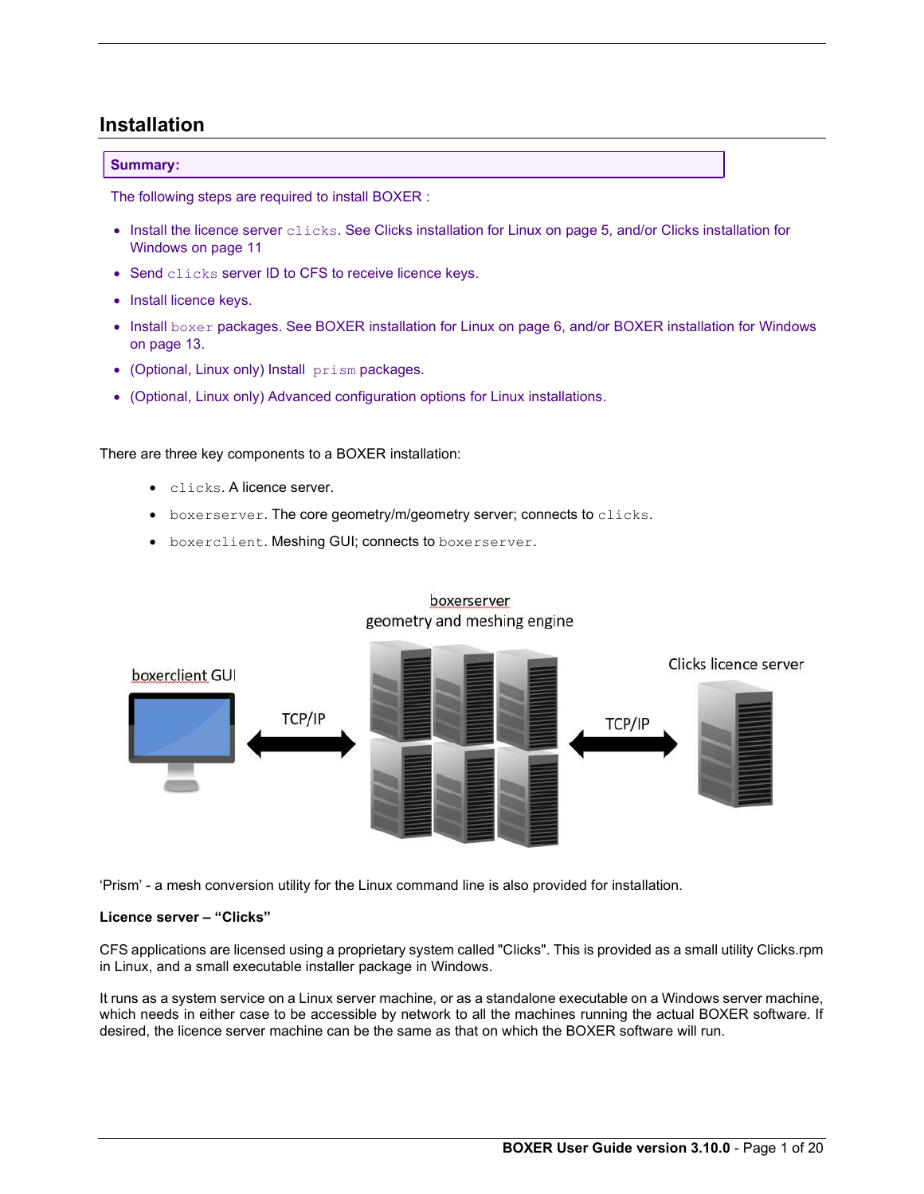# Installation

# Summary:

The following steps are required to install BOXER :

- Install the licence server clicks. See Clicks installation for Linux on page 5, and/or Clicks installation for Windows on page 11
- Send clicks server ID to CFS to receive licence keys.
- Install licence keys.
- Install boxer packages. See BOXER installation for Linux on page 6, and/or BOXER installation for Windows on page 13.
- (Optional, Linux only) Install prism packages.
- (Optional, Linux only) Advanced configuration options for Linux installations.

There are three key components to a BOXER installation:

- clicks. A licence server.
- **•** boxerserver. The core geometry/m/geometry server; connects to clicks.
- $\bullet$  boxerclient. Meshing GUI; connects to boxerserver.



# boxerserver geometry and meshing engine

'Prism' - a mesh conversion utility for the Linux command line is also provided for installation.

# Licence server – "Clicks"

CFS applications are licensed using a proprietary system called "Clicks". This is provided as a small utility Clicks.rpm in Linux, and a small executable installer package in Windows.

It runs as a system service on a Linux server machine, or as a standalone executable on a Windows server machine, which needs in either case to be accessible by network to all the machines running the actual BOXER software. If desired, the licence server machine can be the same as that on which the BOXER software will run.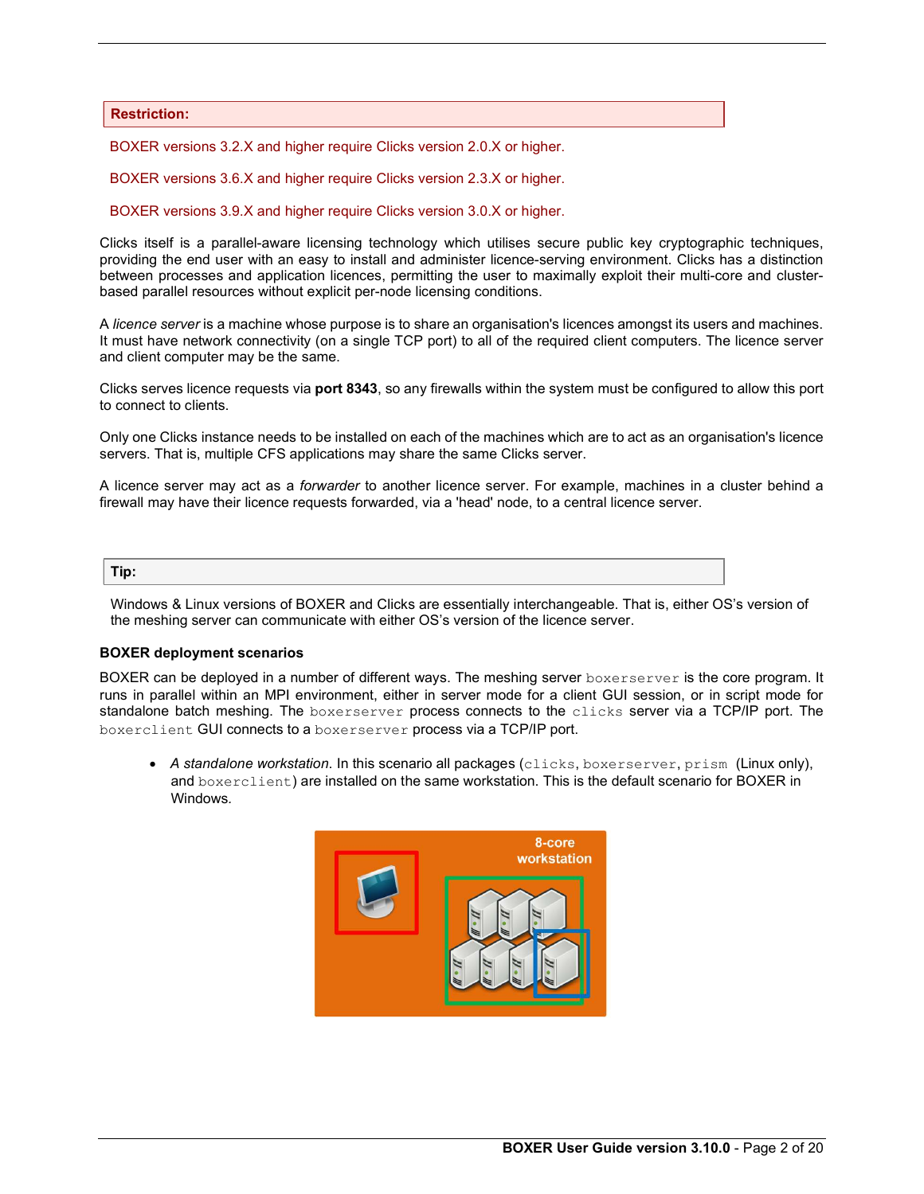### Restriction:

BOXER versions 3.2.X and higher require Clicks version 2.0.X or higher.

BOXER versions 3.6.X and higher require Clicks version 2.3.X or higher.

BOXER versions 3.9.X and higher require Clicks version 3.0.X or higher.

Clicks itself is a parallel-aware licensing technology which utilises secure public key cryptographic techniques, providing the end user with an easy to install and administer licence-serving environment. Clicks has a distinction between processes and application licences, permitting the user to maximally exploit their multi-core and clusterbased parallel resources without explicit per-node licensing conditions.

A licence server is a machine whose purpose is to share an organisation's licences amongst its users and machines. It must have network connectivity (on a single TCP port) to all of the required client computers. The licence server and client computer may be the same.

Clicks serves licence requests via port 8343, so any firewalls within the system must be configured to allow this port to connect to clients.

Only one Clicks instance needs to be installed on each of the machines which are to act as an organisation's licence servers. That is, multiple CFS applications may share the same Clicks server.

A licence server may act as a forwarder to another licence server. For example, machines in a cluster behind a firewall may have their licence requests forwarded, via a 'head' node, to a central licence server.

# Tip:

Windows & Linux versions of BOXER and Clicks are essentially interchangeable. That is, either OS's version of the meshing server can communicate with either OS's version of the licence server.

#### BOXER deployment scenarios

BOXER can be deployed in a number of different ways. The meshing server boxerserver is the core program. It runs in parallel within an MPI environment, either in server mode for a client GUI session, or in script mode for standalone batch meshing. The boxerserver process connects to the clicks server via a TCP/IP port. The boxerclient GUI connects to a boxerserver process via a TCP/IP port.

 $\bullet$  A standalone workstation. In this scenario all packages (clicks, boxerserver, prism (Linux only), and boxerclient) are installed on the same workstation. This is the default scenario for BOXER in Windows.

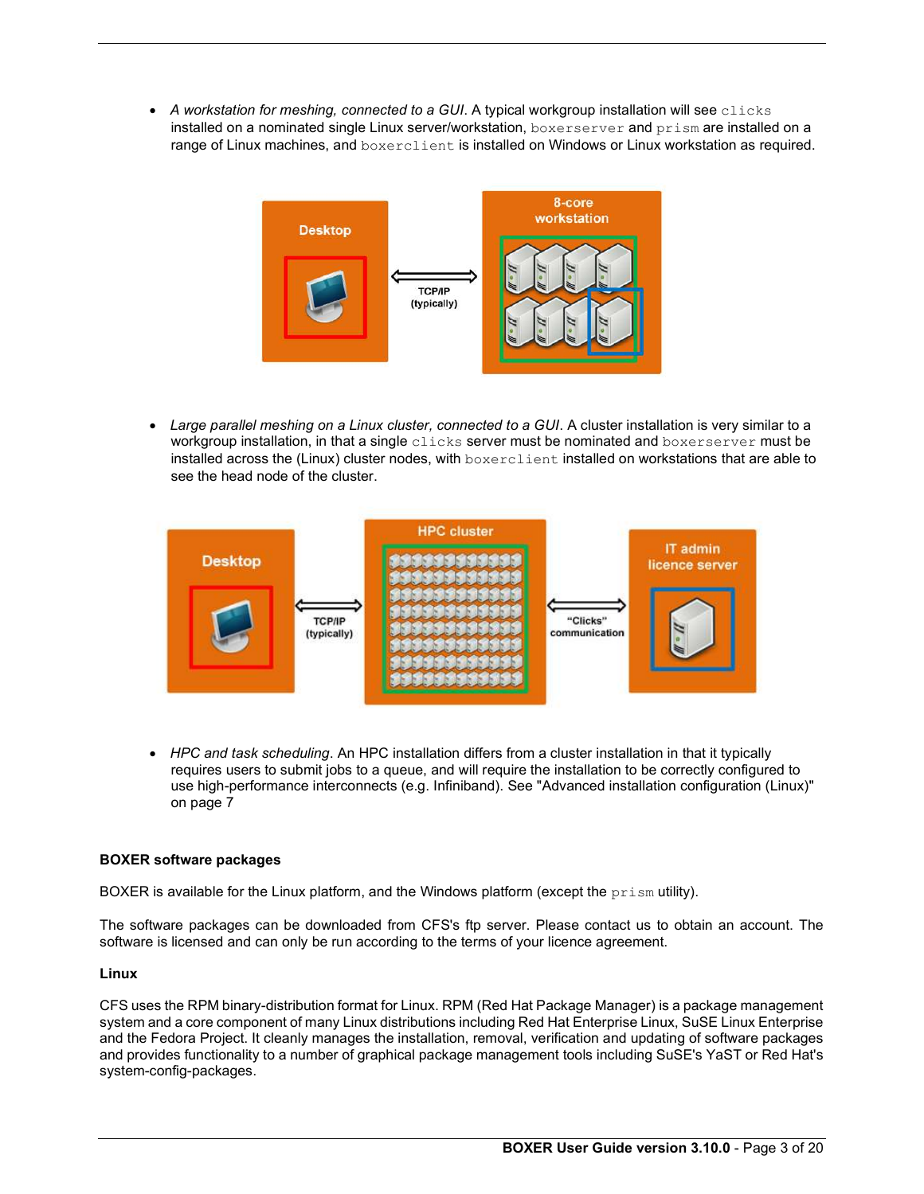$\bullet$  A workstation for meshing, connected to a GUI. A typical workgroup installation will see clicks installed on a nominated single Linux server/workstation, boxerserver and prism are installed on a range of Linux machines, and boxerclient is installed on Windows or Linux workstation as required.



 Large parallel meshing on a Linux cluster, connected to a GUI. A cluster installation is very similar to a workgroup installation, in that a single clicks server must be nominated and boxerserver must be installed across the (Linux) cluster nodes, with boxerclient installed on workstations that are able to see the head node of the cluster.



• HPC and task scheduling. An HPC installation differs from a cluster installation in that it typically requires users to submit jobs to a queue, and will require the installation to be correctly configured to use high-performance interconnects (e.g. Infiniband). See "Advanced installation configuration (Linux)" on page 7

# BOXER software packages

BOXER is available for the Linux platform, and the Windows platform (except the  $prism$  utility).

The software packages can be downloaded from CFS's ftp server. Please contact us to obtain an account. The software is licensed and can only be run according to the terms of your licence agreement.

# Linux

CFS uses the RPM binary-distribution format for Linux. RPM (Red Hat Package Manager) is a package management system and a core component of many Linux distributions including Red Hat Enterprise Linux, SuSE Linux Enterprise and the Fedora Project. It cleanly manages the installation, removal, verification and updating of software packages and provides functionality to a number of graphical package management tools including SuSE's YaST or Red Hat's system-config-packages.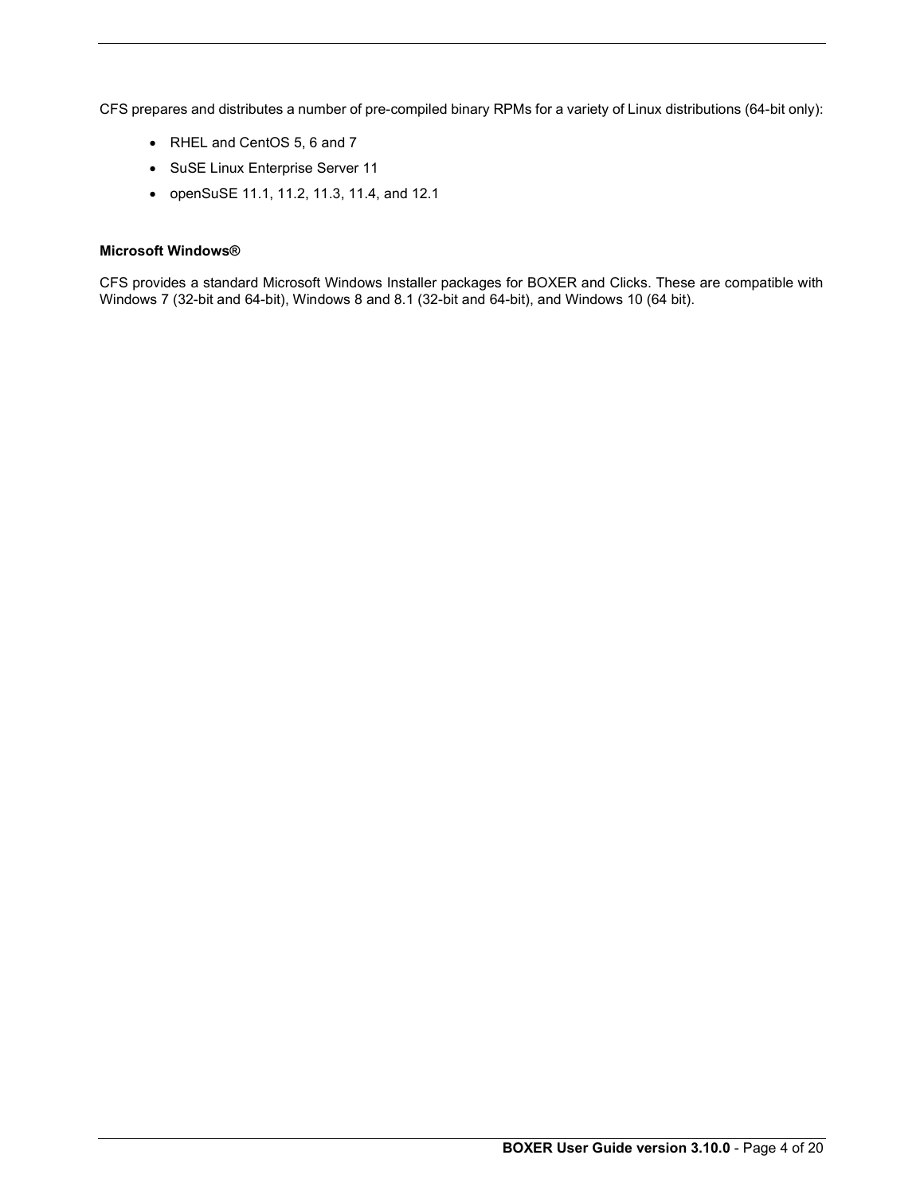CFS prepares and distributes a number of pre-compiled binary RPMs for a variety of Linux distributions (64-bit only):

- RHEL and CentOS 5, 6 and 7
- SuSE Linux Enterprise Server 11
- openSuSE 11.1, 11.2, 11.3, 11.4, and 12.1

# Microsoft Windows®

CFS provides a standard Microsoft Windows Installer packages for BOXER and Clicks. These are compatible with Windows 7 (32-bit and 64-bit), Windows 8 and 8.1 (32-bit and 64-bit), and Windows 10 (64 bit).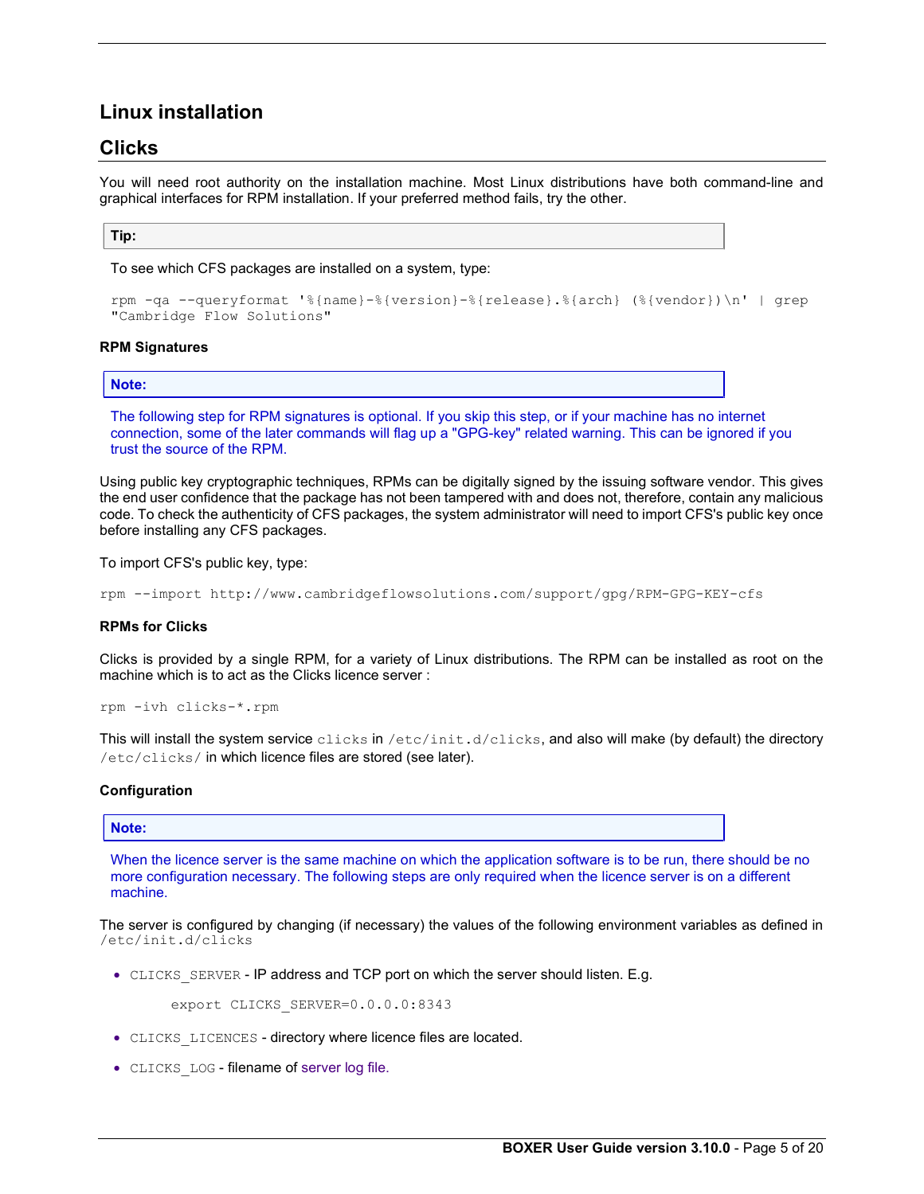# Linux installation

# Clicks

You will need root authority on the installation machine. Most Linux distributions have both command-line and graphical interfaces for RPM installation. If your preferred method fails, try the other.

# Tip:

To see which CFS packages are installed on a system, type:

```
rpm -qa --queryformat '%{name}-%{version}-%{release}.%{arch} (%{vendor})\n' | grep 
"Cambridge Flow Solutions"
```
# RPM Signatures

# Note:

The following step for RPM signatures is optional. If you skip this step, or if your machine has no internet connection, some of the later commands will flag up a "GPG-key" related warning. This can be ignored if you trust the source of the RPM.

Using public key cryptographic techniques, RPMs can be digitally signed by the issuing software vendor. This gives the end user confidence that the package has not been tampered with and does not, therefore, contain any malicious code. To check the authenticity of CFS packages, the system administrator will need to import CFS's public key once before installing any CFS packages.

To import CFS's public key, type:

rpm --import http://www.cambridgeflowsolutions.com/support/gpg/RPM-GPG-KEY-cfs

### RPMs for Clicks

Clicks is provided by a single RPM, for a variety of Linux distributions. The RPM can be installed as root on the machine which is to act as the Clicks licence server :

```
rpm -ivh clicks-*.rpm
```
This will install the system service clicks in /etc/init.d/clicks, and also will make (by default) the directory /etc/clicks/ in which licence files are stored (see later).

# Configuration

# Note:

When the licence server is the same machine on which the application software is to be run, there should be no more configuration necessary. The following steps are only required when the licence server is on a different machine.

The server is configured by changing (if necessary) the values of the following environment variables as defined in /etc/init.d/clicks

• CLICKS SERVER - IP address and TCP port on which the server should listen. E.g.

export CLICKS\_SERVER=0.0.0.0:8343

- CLICKS LICENCES directory where licence files are located.
- CLICKS LOG filename of server log file.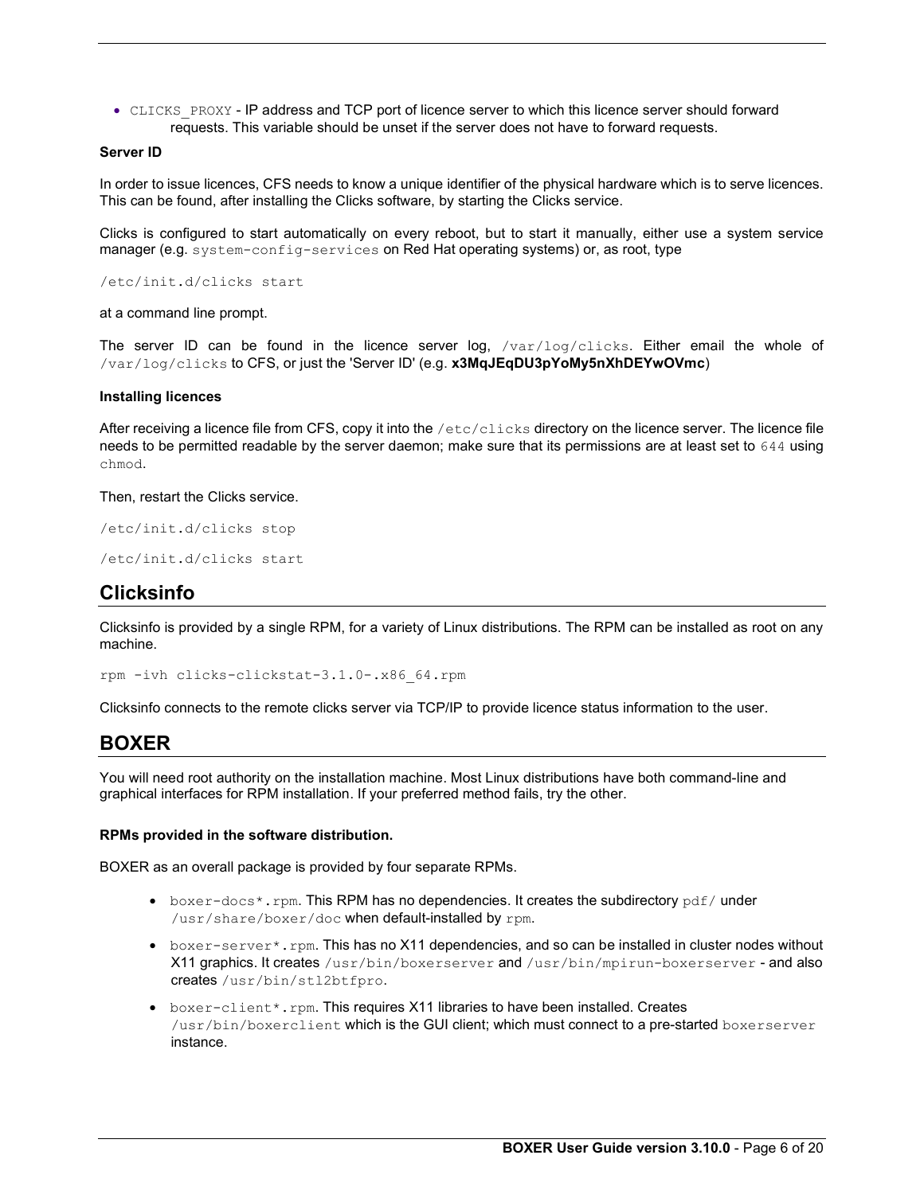• CLICKS PROXY - IP address and TCP port of licence server to which this licence server should forward requests. This variable should be unset if the server does not have to forward requests.

# Server ID

In order to issue licences, CFS needs to know a unique identifier of the physical hardware which is to serve licences. This can be found, after installing the Clicks software, by starting the Clicks service.

Clicks is configured to start automatically on every reboot, but to start it manually, either use a system service manager (e.g. system-config-services on Red Hat operating systems) or, as root, type

/etc/init.d/clicks start

at a command line prompt.

The server ID can be found in the licence server  $log$ ,  $/var/log/clicks$ . Either email the whole of /var/log/clicks to CFS, or just the 'Server ID' (e.g. x3MqJEqDU3pYoMy5nXhDEYwOVmc)

# Installing licences

After receiving a licence file from CFS, copy it into the /etc/clicks directory on the licence server. The licence file needs to be permitted readable by the server daemon; make sure that its permissions are at least set to 644 using chmod.

Then, restart the Clicks service.

/etc/init.d/clicks stop

```
/etc/init.d/clicks start
```
# Clicksinfo

Clicksinfo is provided by a single RPM, for a variety of Linux distributions. The RPM can be installed as root on any machine.

rpm -ivh clicks-clickstat-3.1.0-.x86\_64.rpm

Clicksinfo connects to the remote clicks server via TCP/IP to provide licence status information to the user.

# BOXER

You will need root authority on the installation machine. Most Linux distributions have both command-line and graphical interfaces for RPM installation. If your preferred method fails, try the other.

#### RPMs provided in the software distribution.

BOXER as an overall package is provided by four separate RPMs.

- $\bullet$  boxer-docs\*.rpm. This RPM has no dependencies. It creates the subdirectory  $pdf/$  under /usr/share/boxer/doc when default-installed by rpm.
- boxer-server\*.rpm. This has no X11 dependencies, and so can be installed in cluster nodes without X11 graphics. It creates /usr/bin/boxerserver and /usr/bin/mpirun-boxerserver - and also creates /usr/bin/stl2btfpro.
- boxer-client\*.rpm. This requires X11 libraries to have been installed. Creates /usr/bin/boxerclient which is the GUI client; which must connect to a pre-started boxerserver instance.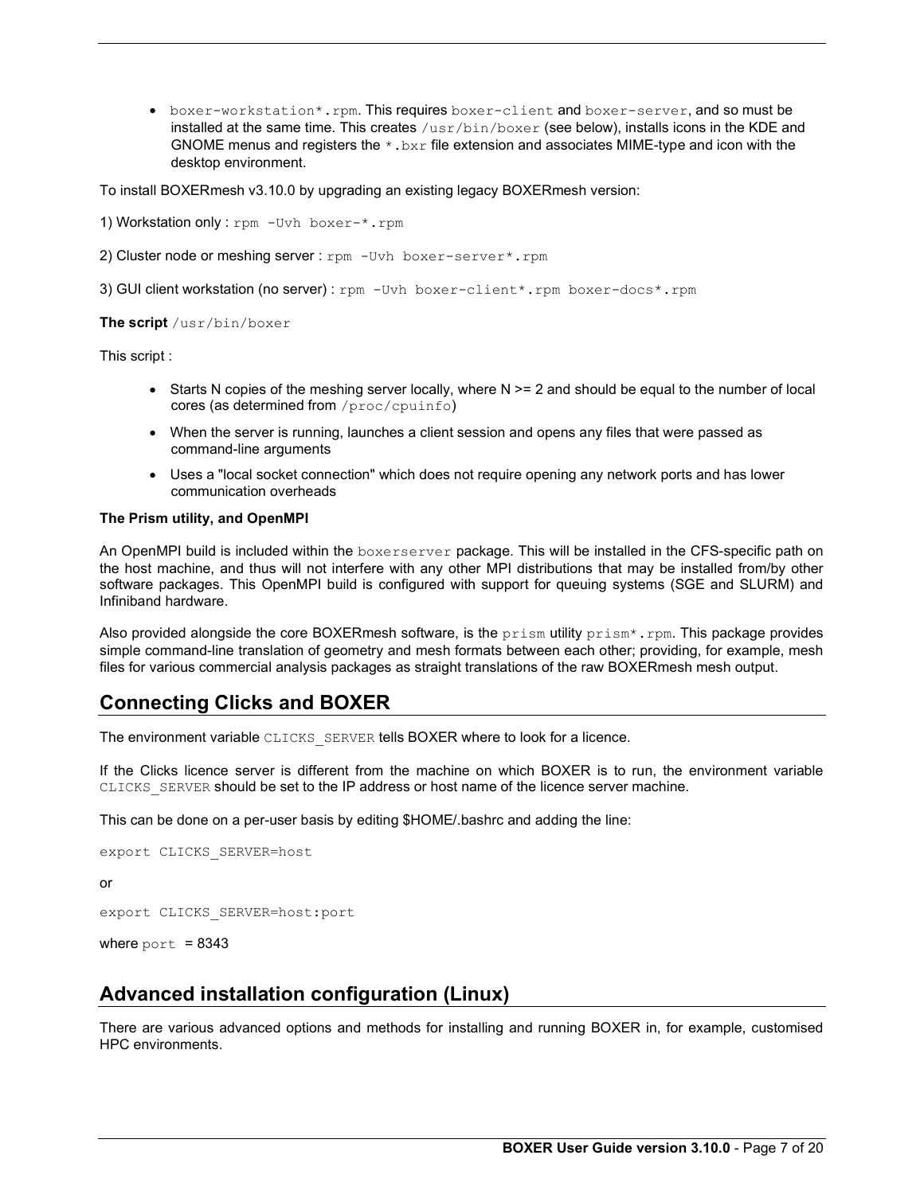boxer-workstation\*.rpm. This requires boxer-client and boxer-server, and so must be installed at the same time. This creates  $/\text{usr/bin}/\text{box}$  (see below), installs icons in the KDE and GNOME menus and registers the  $*$ .  $bxx$  file extension and associates MIME-type and icon with the desktop environment.

To install BOXERmesh v3.10.0 by upgrading an existing legacy BOXERmesh version:

1) Workstation only : rpm - Uvh boxer-\*.rpm

2) Cluster node or meshing server : rpm - Uvh boxer-server\*.rpm

3) GUI client workstation (no server) : rpm -Uvh boxer-client\*.rpm boxer-docs\*.rpm

The script /usr/bin/boxer

This script :

- $\bullet$  Starts N copies of the meshing server locally, where N  $\geq$  2 and should be equal to the number of local cores (as determined from /proc/cpuinfo)
- When the server is running, launches a client session and opens any files that were passed as command-line arguments
- Uses a "local socket connection" which does not require opening any network ports and has lower communication overheads

### The Prism utility, and OpenMPI

An OpenMPI build is included within the boxerserver package. This will be installed in the CFS-specific path on the host machine, and thus will not interfere with any other MPI distributions that may be installed from/by other software packages. This OpenMPI build is configured with support for queuing systems (SGE and SLURM) and Infiniband hardware.

Also provided alongside the core BOXERmesh software, is the  $prism$  utility  $prism^*$ . rpm. This package provides simple command-line translation of geometry and mesh formats between each other; providing, for example, mesh files for various commercial analysis packages as straight translations of the raw BOXERmesh mesh output.

# Connecting Clicks and BOXER

The environment variable CLICKS SERVER tells BOXER where to look for a licence.

If the Clicks licence server is different from the machine on which BOXER is to run, the environment variable CLICKS\_SERVER should be set to the IP address or host name of the licence server machine.

This can be done on a per-user basis by editing \$HOME/.bashrc and adding the line:

```
export CLICKS_SERVER=host 
or 
export CLICKS_SERVER=host:port
```
where  $port = 8343$ 

# Advanced installation configuration (Linux)

There are various advanced options and methods for installing and running BOXER in, for example, customised HPC environments.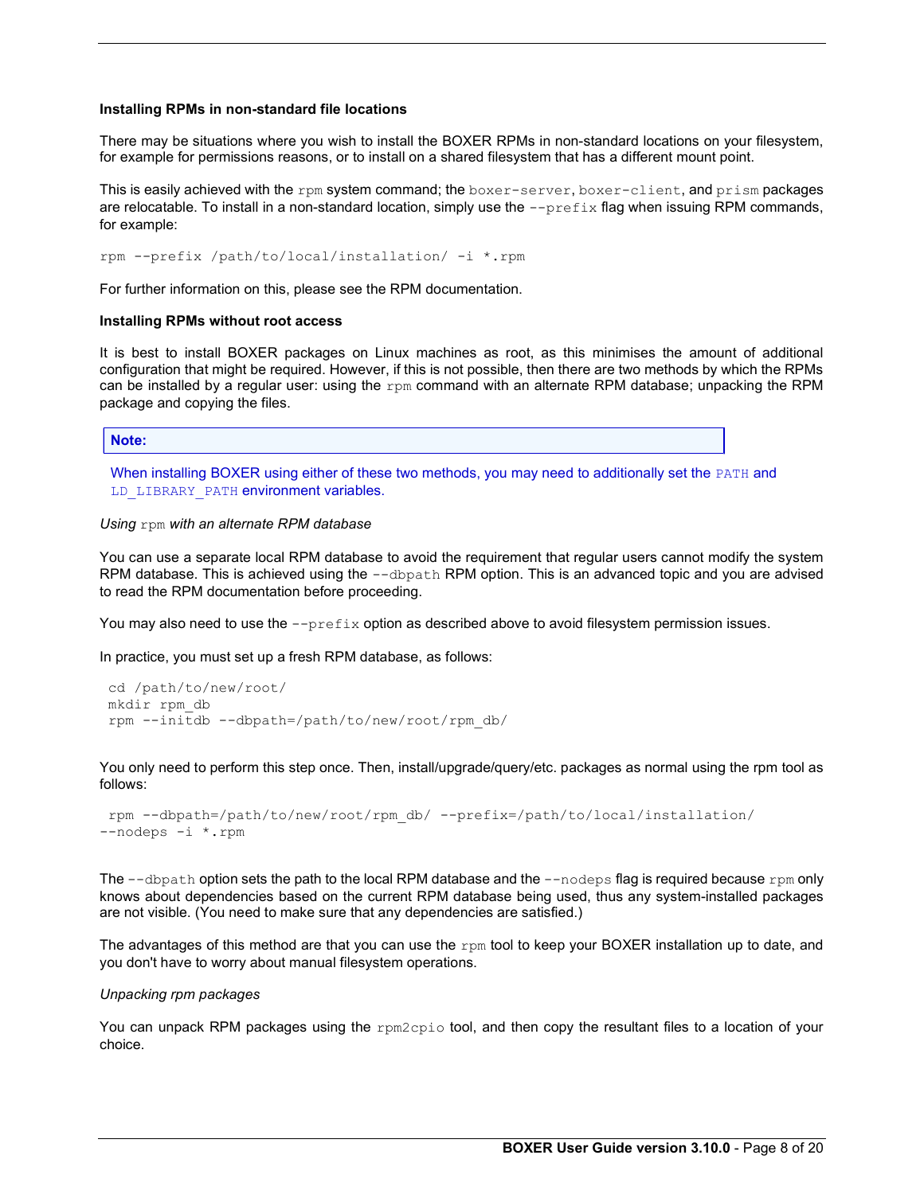### Installing RPMs in non-standard file locations

There may be situations where you wish to install the BOXER RPMs in non-standard locations on your filesystem, for example for permissions reasons, or to install on a shared filesystem that has a different mount point.

This is easily achieved with the rpm system command; the boxer-server, boxer-client, and prism packages are relocatable. To install in a non-standard location, simply use the --prefix flag when issuing RPM commands, for example:

rpm --prefix /path/to/local/installation/ -i \*.rpm

For further information on this, please see the RPM documentation.

### Installing RPMs without root access

It is best to install BOXER packages on Linux machines as root, as this minimises the amount of additional configuration that might be required. However, if this is not possible, then there are two methods by which the RPMs can be installed by a regular user: using the  $rpm$  command with an alternate RPM database; unpacking the RPM package and copying the files.

Note:

When installing BOXER using either of these two methods, you may need to additionally set the PATH and LD\_LIBRARY\_PATH environment variables.

#### Using rpm with an alternate RPM database

You can use a separate local RPM database to avoid the requirement that regular users cannot modify the system RPM database. This is achieved using the  $-$ -dbpath RPM option. This is an advanced topic and you are advised to read the RPM documentation before proceeding.

You may also need to use the --prefix option as described above to avoid filesystem permission issues.

In practice, you must set up a fresh RPM database, as follows:

```
 cd /path/to/new/root/ 
 mkdir rpm_db 
 rpm --initdb --dbpath=/path/to/new/root/rpm_db/
```
You only need to perform this step once. Then, install/upgrade/query/etc. packages as normal using the rpm tool as follows:

```
 rpm --dbpath=/path/to/new/root/rpm_db/ --prefix=/path/to/local/installation/ 
--nodeps -i *.rpm
```
The  $-\text{dbpath}$  option sets the path to the local RPM database and the  $-\text{nodes}$  flag is required because  $\text{rpm}$  only knows about dependencies based on the current RPM database being used, thus any system-installed packages are not visible. (You need to make sure that any dependencies are satisfied.)

The advantages of this method are that you can use the rpm tool to keep your BOXER installation up to date, and you don't have to worry about manual filesystem operations.

### Unpacking rpm packages

You can unpack RPM packages using the rpm2cpio tool, and then copy the resultant files to a location of your choice.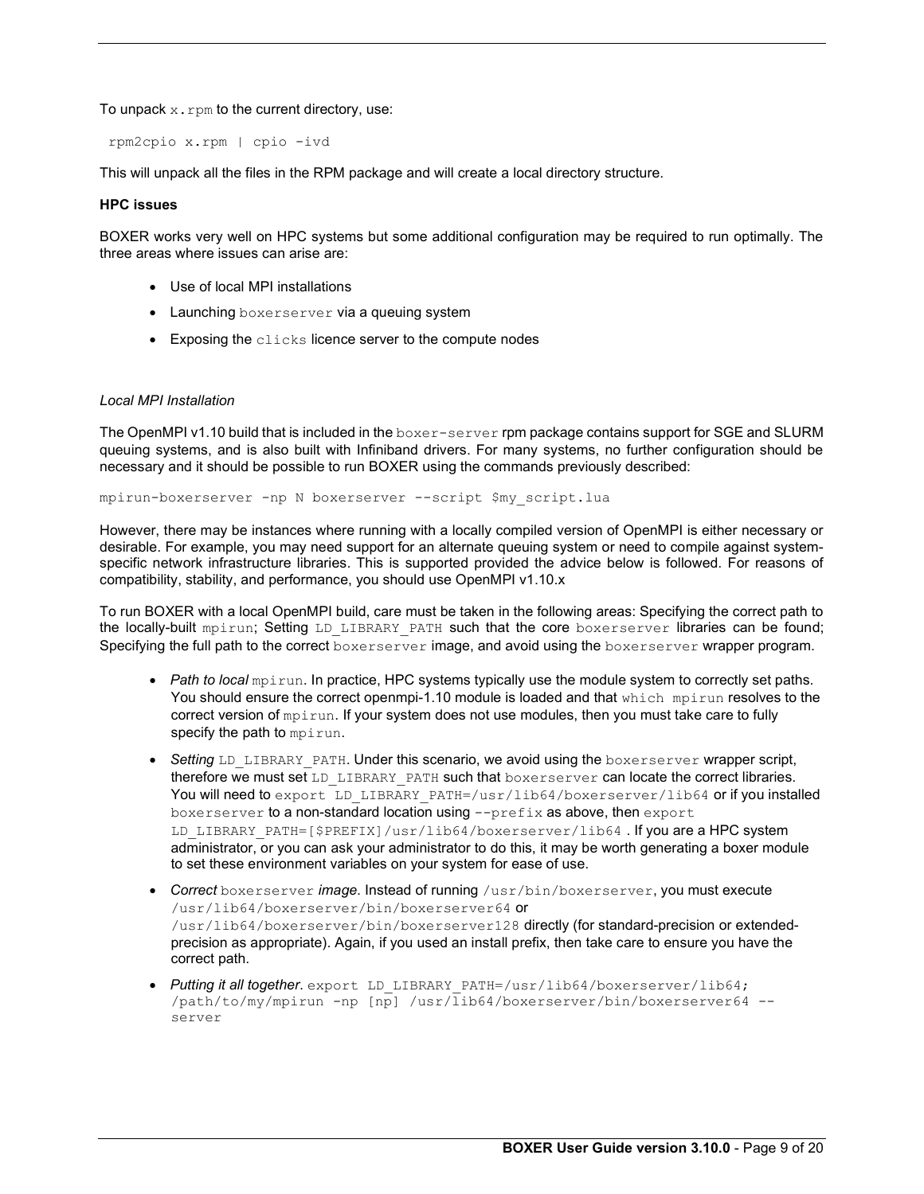To unpack  $x$ .  $r$ pm to the current directory, use:

rpm2cpio x.rpm | cpio -ivd

This will unpack all the files in the RPM package and will create a local directory structure.

### HPC issues

BOXER works very well on HPC systems but some additional configuration may be required to run optimally. The three areas where issues can arise are:

- Use of local MPI installations
- Launching boxerserver via a queuing system
- **•** Exposing the clicks licence server to the compute nodes

### Local MPI Installation

The OpenMPI v1.10 build that is included in the boxer-server rpm package contains support for SGE and SLURM queuing systems, and is also built with Infiniband drivers. For many systems, no further configuration should be necessary and it should be possible to run BOXER using the commands previously described:

mpirun-boxerserver -np N boxerserver --script \$my\_script.lua

However, there may be instances where running with a locally compiled version of OpenMPI is either necessary or desirable. For example, you may need support for an alternate queuing system or need to compile against systemspecific network infrastructure libraries. This is supported provided the advice below is followed. For reasons of compatibility, stability, and performance, you should use OpenMPI v1.10.x

To run BOXER with a local OpenMPI build, care must be taken in the following areas: Specifying the correct path to the locally-built mpirun; Setting LD\_LIBRARY\_PATH such that the core boxerserver libraries can be found; Specifying the full path to the correct boxerserver image, and avoid using the boxerserver wrapper program.

- Path to local mpirun. In practice, HPC systems typically use the module system to correctly set paths. You should ensure the correct openmpi-1.10 module is loaded and that which mpirun resolves to the correct version of mpirun. If your system does not use modules, then you must take care to fully specify the path to mpirun.
- Setting LD LIBRARY PATH. Under this scenario, we avoid using the boxerserver wrapper script, therefore we must set LD\_LIBRARY\_PATH such that boxerserver can locate the correct libraries. You will need to export LD\_LIBRARY\_PATH=/usr/lib64/boxerserver/lib64 or if you installed boxerserver to a non-standard location using --prefix as above, then export LD LIBRARY PATH=[\$PREFIX]/usr/lib64/boxerserver/lib64 . If you are a HPC system administrator, or you can ask your administrator to do this, it may be worth generating a boxer module to set these environment variables on your system for ease of use.
- Correct boxerserver image. Instead of running /usr/bin/boxerserver, you must execute /usr/lib64/boxerserver/bin/boxerserver64 or /usr/lib64/boxerserver/bin/boxerserver128 directly (for standard-precision or extendedprecision as appropriate). Again, if you used an install prefix, then take care to ensure you have the correct path.
- Putting it all together. export LD LIBRARY PATH=/usr/lib64/boxerserver/lib64; /path/to/my/mpirun -np [np] /usr/lib64/boxerserver/bin/boxerserver64 - server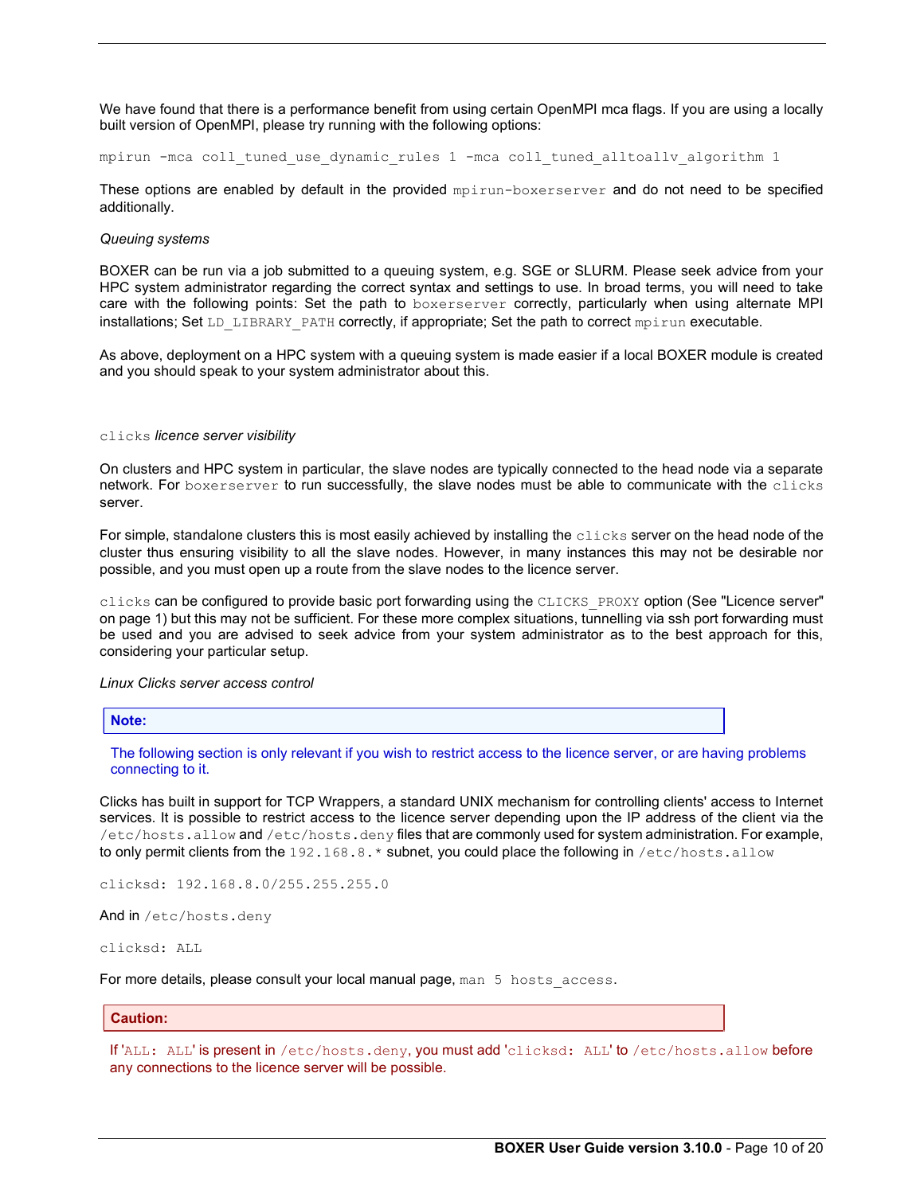We have found that there is a performance benefit from using certain OpenMPI mca flags. If you are using a locally built version of OpenMPI, please try running with the following options:

mpirun -mca coll\_tuned\_use\_dynamic\_rules 1 -mca coll\_tuned\_alltoallv\_algorithm 1

These options are enabled by default in the provided mpirun-boxerserver and do not need to be specified additionally.

### Queuing systems

BOXER can be run via a job submitted to a queuing system, e.g. SGE or SLURM. Please seek advice from your HPC system administrator regarding the correct syntax and settings to use. In broad terms, you will need to take care with the following points: Set the path to boxerserver correctly, particularly when using alternate MPI installations; Set LD\_LIBRARY\_PATH correctly, if appropriate; Set the path to correct mpirun executable.

As above, deployment on a HPC system with a queuing system is made easier if a local BOXER module is created and you should speak to your system administrator about this.

#### clicks licence server visibility

On clusters and HPC system in particular, the slave nodes are typically connected to the head node via a separate network. For boxerserver to run successfully, the slave nodes must be able to communicate with the clicks server.

For simple, standalone clusters this is most easily achieved by installing the  $\text{clicks}$  server on the head node of the cluster thus ensuring visibility to all the slave nodes. However, in many instances this may not be desirable nor possible, and you must open up a route from the slave nodes to the licence server.

clicks can be configured to provide basic port forwarding using the CLICKS\_PROXY option (See "Licence server" on page 1) but this may not be sufficient. For these more complex situations, tunnelling via ssh port forwarding must be used and you are advised to seek advice from your system administrator as to the best approach for this, considering your particular setup.

#### Linux Clicks server access control

Note:

The following section is only relevant if you wish to restrict access to the licence server, or are having problems connecting to it.

Clicks has built in support for TCP Wrappers, a standard UNIX mechanism for controlling clients' access to Internet services. It is possible to restrict access to the licence server depending upon the IP address of the client via the /etc/hosts.allow and /etc/hosts.deny files that are commonly used for system administration. For example, to only permit clients from the 192.168.8.\* subnet, you could place the following in /etc/hosts.allow

clicksd: 192.168.8.0/255.255.255.0

And in /etc/hosts.deny

clicksd: ALL

For more details, please consult your local manual page, man 5 hosts access.

### Caution:

If 'ALL: ALL' is present in /etc/hosts.deny, you must add 'clicksd: ALL' to /etc/hosts.allow before any connections to the licence server will be possible.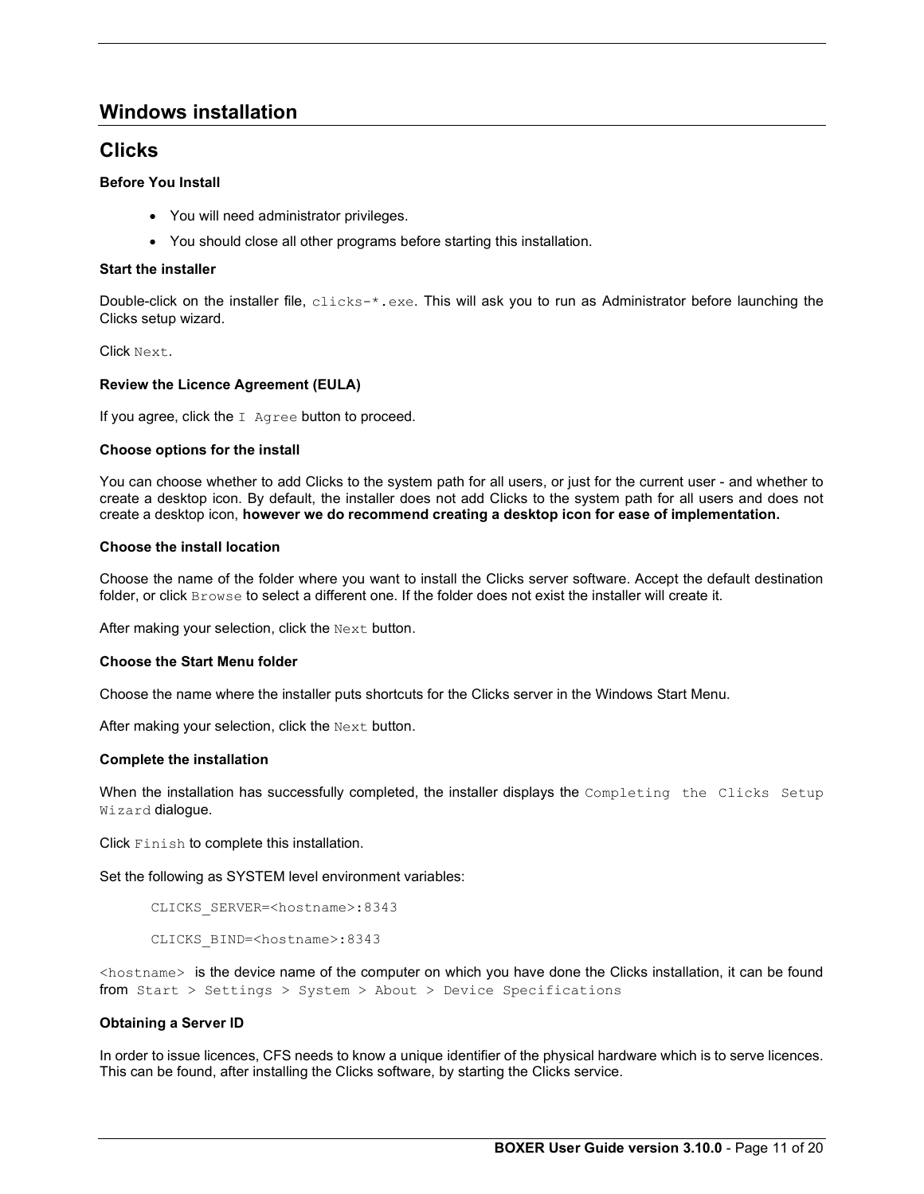# Windows installation

# **Clicks**

# Before You Install

- You will need administrator privileges.
- You should close all other programs before starting this installation.

# Start the installer

Double-click on the installer file, clicks-\*.exe. This will ask you to run as Administrator before launching the Clicks setup wizard.

Click Next.

# Review the Licence Agreement (EULA)

If you agree, click the  $I$  Agree button to proceed.

# Choose options for the install

You can choose whether to add Clicks to the system path for all users, or just for the current user - and whether to create a desktop icon. By default, the installer does not add Clicks to the system path for all users and does not create a desktop icon, however we do recommend creating a desktop icon for ease of implementation.

# Choose the install location

Choose the name of the folder where you want to install the Clicks server software. Accept the default destination folder, or click Browse to select a different one. If the folder does not exist the installer will create it.

After making your selection, click the Next button.

# Choose the Start Menu folder

Choose the name where the installer puts shortcuts for the Clicks server in the Windows Start Menu.

After making your selection, click the  $Next$  button.

# Complete the installation

When the installation has successfully completed, the installer displays the Completing the Clicks Setup Wizard dialogue.

Click Finish to complete this installation.

Set the following as SYSTEM level environment variables:

```
 CLICKS_SERVER=<hostname>:8343
```
CLICKS\_BIND=<hostname>:8343

<hostname> is the device name of the computer on which you have done the Clicks installation, it can be found from Start > Settings > System > About > Device Specifications

# Obtaining a Server ID

In order to issue licences, CFS needs to know a unique identifier of the physical hardware which is to serve licences. This can be found, after installing the Clicks software, by starting the Clicks service.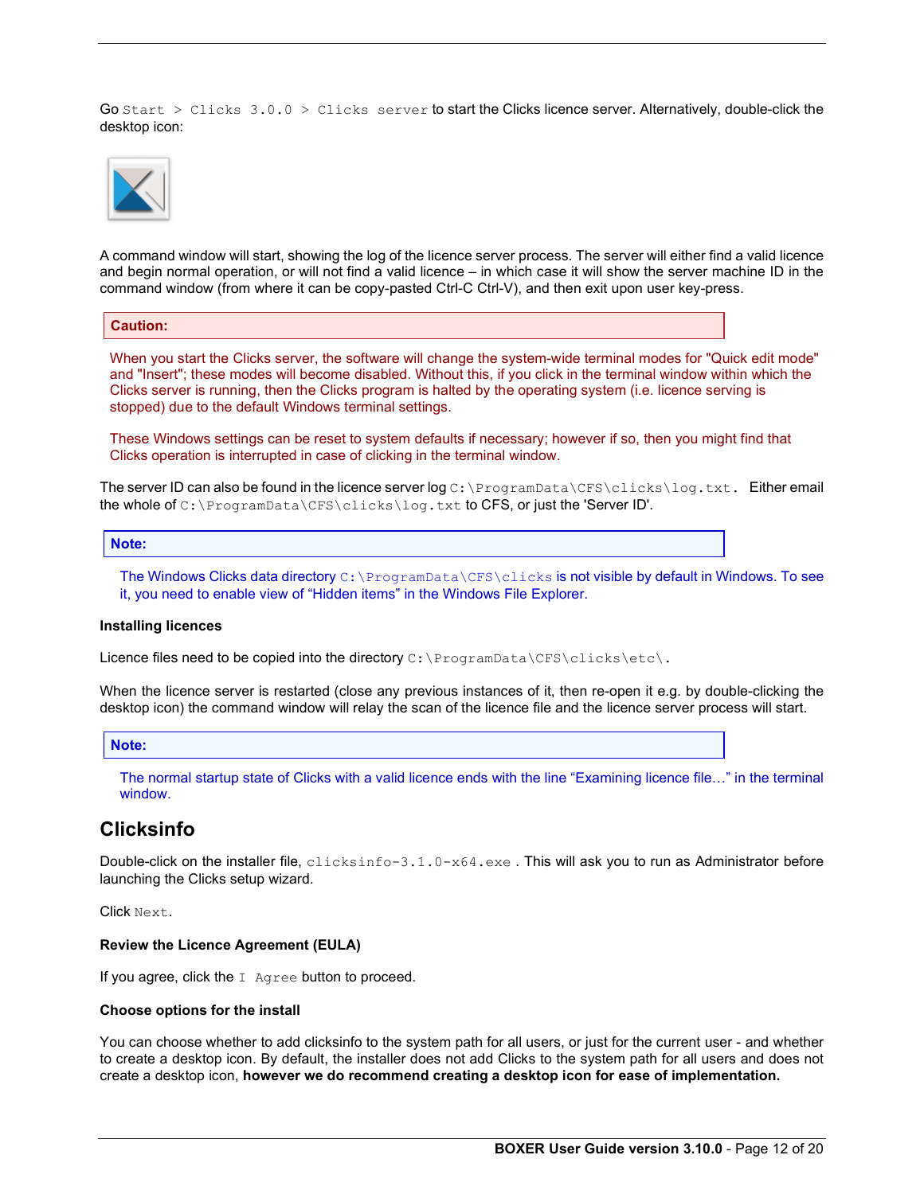Go Start  $>$  Clicks 3.0.0  $>$  Clicks server to start the Clicks licence server. Alternatively, double-click the desktop icon:



A command window will start, showing the log of the licence server process. The server will either find a valid licence and begin normal operation, or will not find a valid licence – in which case it will show the server machine ID in the command window (from where it can be copy-pasted Ctrl-C Ctrl-V), and then exit upon user key-press.

### Caution:

When you start the Clicks server, the software will change the system-wide terminal modes for "Quick edit mode" and "Insert"; these modes will become disabled. Without this, if you click in the terminal window within which the Clicks server is running, then the Clicks program is halted by the operating system (i.e. licence serving is stopped) due to the default Windows terminal settings.

These Windows settings can be reset to system defaults if necessary; however if so, then you might find that Clicks operation is interrupted in case of clicking in the terminal window.

The server ID can also be found in the licence server log C:\ProgramData\CFS\clicks\log.txt. Either email the whole of C:\ProgramData\CFS\clicks\log.txt to CFS, or just the 'Server ID'.

#### Note:

The Windows Clicks data directory  $C:\Per{\texttt{CFS}\clots}$  is not visible by default in Windows. To see it, you need to enable view of "Hidden items" in the Windows File Explorer.

#### Installing licences

Licence files need to be copied into the directory  $C:\Per{\circ}$  and  $\CFS\cl{icks}\et{c}.$ 

When the licence server is restarted (close any previous instances of it, then re-open it e.g. by double-clicking the desktop icon) the command window will relay the scan of the licence file and the licence server process will start.

### Note:

The normal startup state of Clicks with a valid licence ends with the line "Examining licence file…" in the terminal window.

# **Clicksinfo**

Double-click on the installer file, clicksinfo-3.1.0-x64.exe. This will ask you to run as Administrator before launching the Clicks setup wizard.

Click Next.

### Review the Licence Agreement (EULA)

If you agree, click the I Agree button to proceed.

#### Choose options for the install

You can choose whether to add clicksinfo to the system path for all users, or just for the current user - and whether to create a desktop icon. By default, the installer does not add Clicks to the system path for all users and does not create a desktop icon, however we do recommend creating a desktop icon for ease of implementation.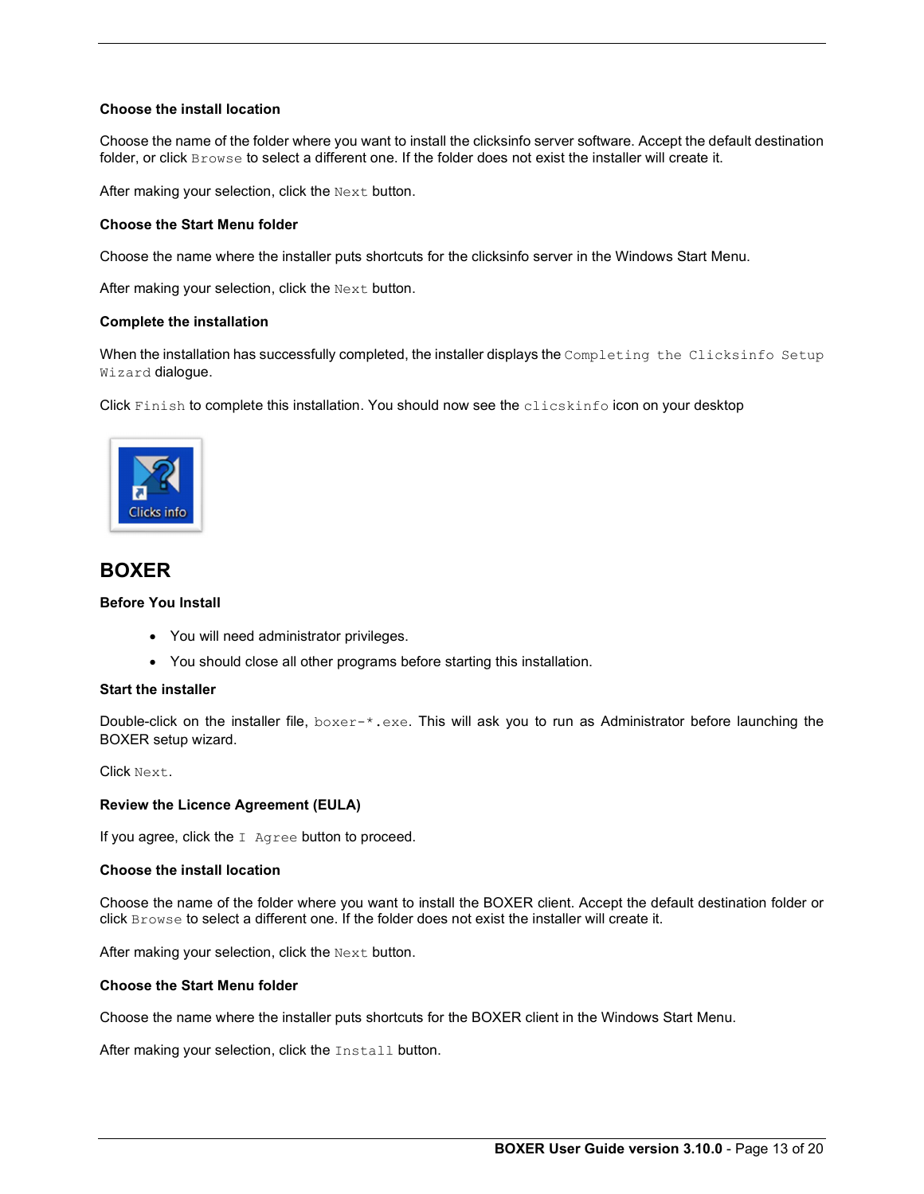# Choose the install location

Choose the name of the folder where you want to install the clicksinfo server software. Accept the default destination folder, or click Browse to select a different one. If the folder does not exist the installer will create it.

After making your selection, click the Next button.

# Choose the Start Menu folder

Choose the name where the installer puts shortcuts for the clicksinfo server in the Windows Start Menu.

After making your selection, click the Next button.

# Complete the installation

When the installation has successfully completed, the installer displays the Completing the Clicksinfo Setup Wizard dialogue.

Click Finish to complete this installation. You should now see the clicskinfo icon on your desktop



# BOXER

# Before You Install

- You will need administrator privileges.
- You should close all other programs before starting this installation.

### Start the installer

Double-click on the installer file, boxer-\*.exe. This will ask you to run as Administrator before launching the BOXER setup wizard.

Click Next.

# Review the Licence Agreement (EULA)

If you agree, click the I Agree button to proceed.

# Choose the install location

Choose the name of the folder where you want to install the BOXER client. Accept the default destination folder or click Browse to select a different one. If the folder does not exist the installer will create it.

After making your selection, click the Next button.

# Choose the Start Menu folder

Choose the name where the installer puts shortcuts for the BOXER client in the Windows Start Menu.

After making your selection, click the Install button.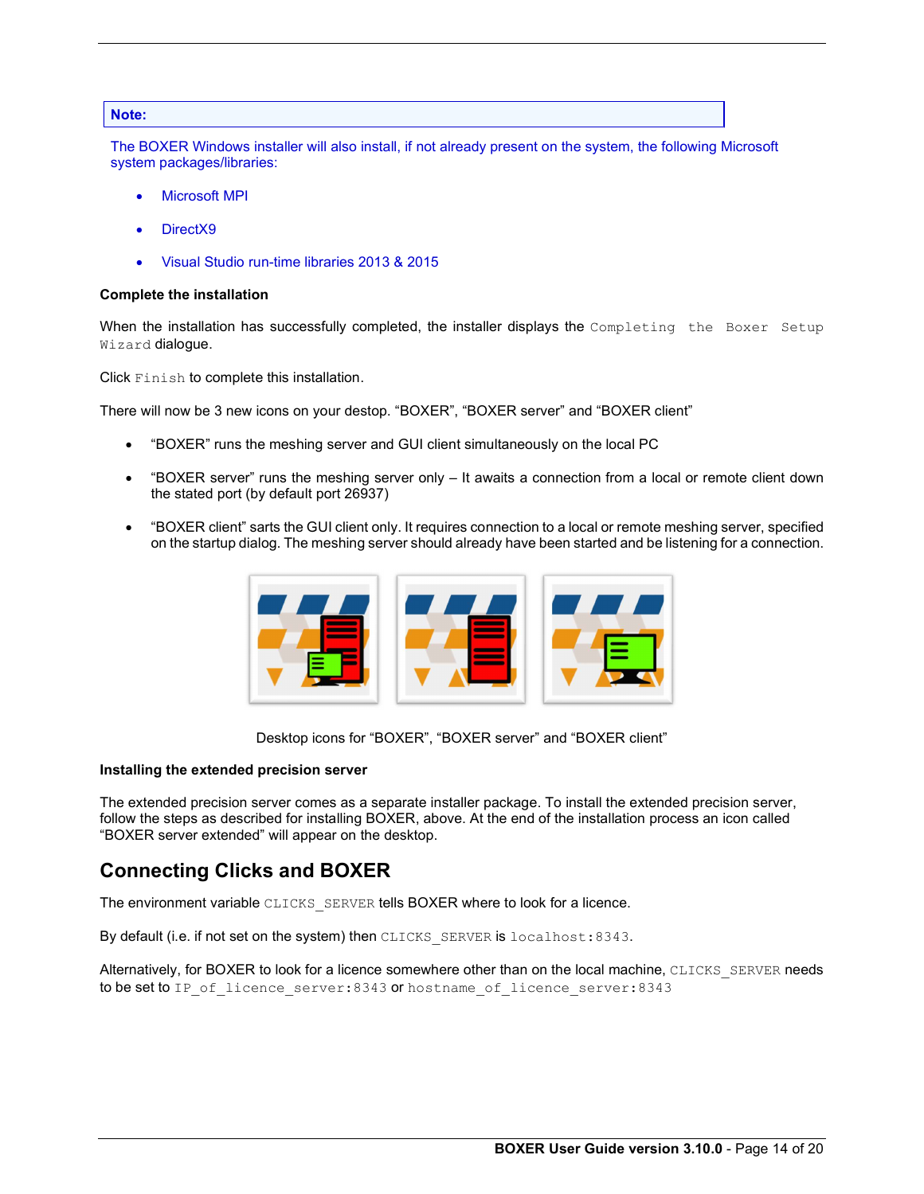### Note:

The BOXER Windows installer will also install, if not already present on the system, the following Microsoft system packages/libraries:

- Microsoft MPI
- DirectX9
- Visual Studio run-time libraries 2013 & 2015

#### Complete the installation

When the installation has successfully completed, the installer displays the Completing the Boxer Setup Wizard dialogue.

Click Finish to complete this installation.

There will now be 3 new icons on your destop. "BOXER", "BOXER server" and "BOXER client"

- "BOXER" runs the meshing server and GUI client simultaneously on the local PC
- "BOXER server" runs the meshing server only It awaits a connection from a local or remote client down the stated port (by default port 26937)
- "BOXER client" sarts the GUI client only. It requires connection to a local or remote meshing server, specified on the startup dialog. The meshing server should already have been started and be listening for a connection.



Desktop icons for "BOXER", "BOXER server" and "BOXER client"

### Installing the extended precision server

The extended precision server comes as a separate installer package. To install the extended precision server, follow the steps as described for installing BOXER, above. At the end of the installation process an icon called "BOXER server extended" will appear on the desktop.

# Connecting Clicks and BOXER

The environment variable CLICKS\_SERVER tells BOXER where to look for a licence.

By default (i.e. if not set on the system) then CLICKS\_SERVER is localhost:8343.<br>Alternatively, for BOXER to look for a licence somewhere other than on the local machine, CLICKS\_SERVER needs to be set to IP of licence server:8343 or hostname of licence server:8343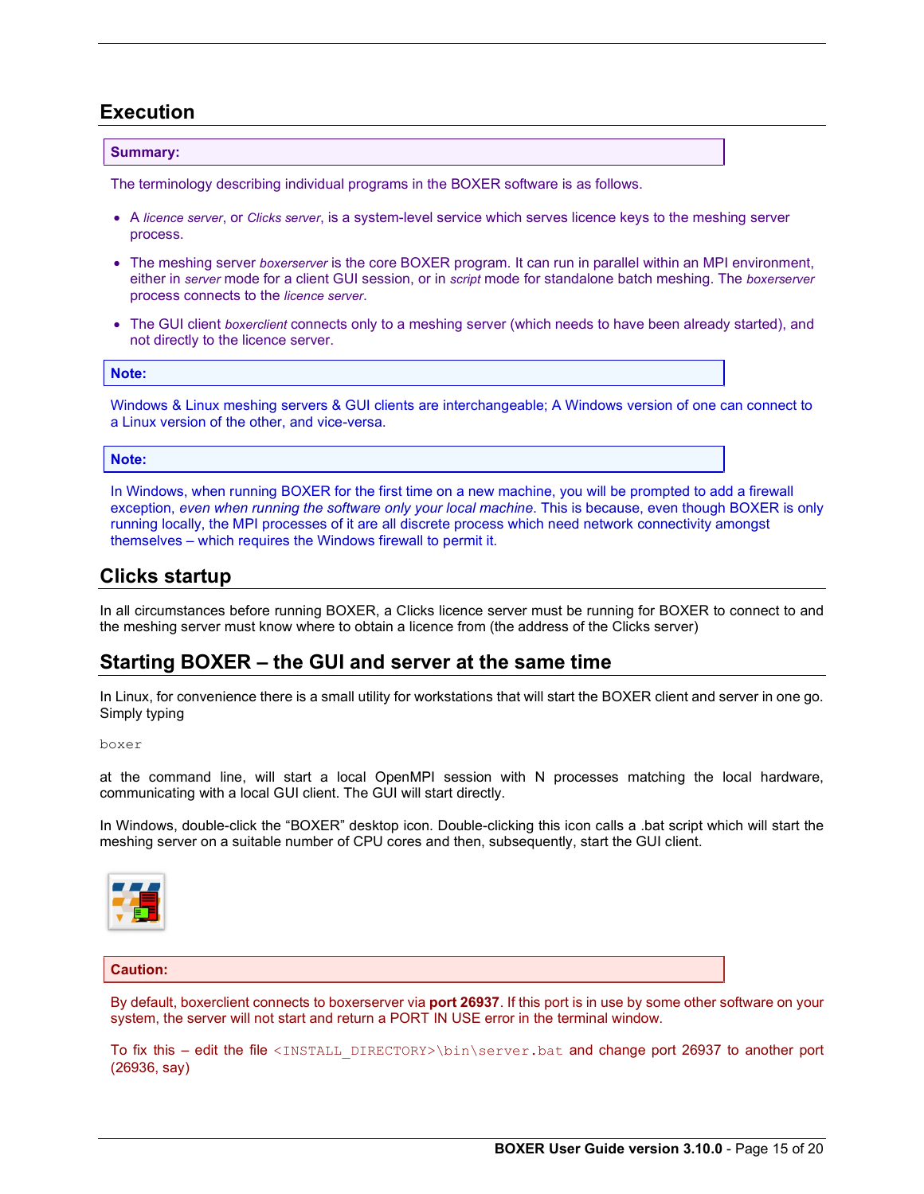# Execution

# Summary:

The terminology describing individual programs in the BOXER software is as follows.

- A licence server, or Clicks server, is a system-level service which serves licence keys to the meshing server process.
- The meshing server boxerserver is the core BOXER program. It can run in parallel within an MPI environment, either in server mode for a client GUI session, or in script mode for standalone batch meshing. The boxerserver process connects to the licence server.
- The GUI client boxerclient connects only to a meshing server (which needs to have been already started), and not directly to the licence server.

### Note:

Windows & Linux meshing servers & GUI clients are interchangeable; A Windows version of one can connect to a Linux version of the other, and vice-versa.

# Note:

In Windows, when running BOXER for the first time on a new machine, you will be prompted to add a firewall exception, even when running the software only your local machine. This is because, even though BOXER is only running locally, the MPI processes of it are all discrete process which need network connectivity amongst themselves – which requires the Windows firewall to permit it.

# Clicks startup

In all circumstances before running BOXER, a Clicks licence server must be running for BOXER to connect to and the meshing server must know where to obtain a licence from (the address of the Clicks server)

# Starting BOXER – the GUI and server at the same time

In Linux, for convenience there is a small utility for workstations that will start the BOXER client and server in one go. Simply typing

#### boxer

at the command line, will start a local OpenMPI session with N processes matching the local hardware, communicating with a local GUI client. The GUI will start directly.

In Windows, double-click the "BOXER" desktop icon. Double-clicking this icon calls a .bat script which will start the meshing server on a suitable number of CPU cores and then, subsequently, start the GUI client.



# Caution:

By default, boxerclient connects to boxerserver via port 26937. If this port is in use by some other software on your system, the server will not start and return a PORT IN USE error in the terminal window.

To fix this – edit the file <INSTALL\_DIRECTORY>\bin\server.bat and change port 26937 to another port (26936, say)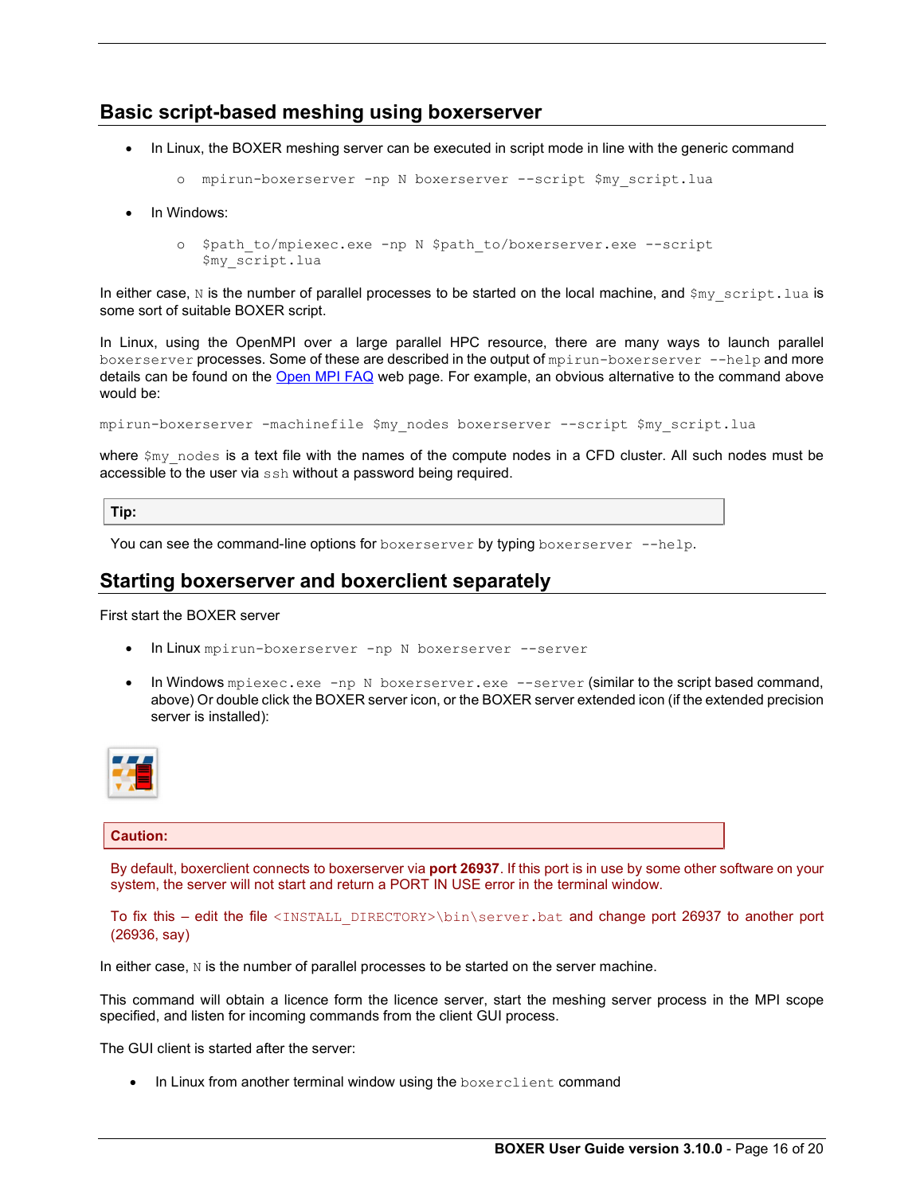# Basic script-based meshing using boxerserver

• In Linux, the BOXER meshing server can be executed in script mode in line with the generic command

```
o mpirun-boxerserver -np N boxerserver --script $my_script.lua
```
- In Windows:
	- o \$path\_to/mpiexec.exe -np N \$path\_to/boxerserver.exe --script \$my\_script.lua

In either case, N is the number of parallel processes to be started on the local machine, and  $\varsigma_{my\_script.$  lua is some sort of suitable BOXER script.

In Linux, using the OpenMPI over a large parallel HPC resource, there are many ways to launch parallel boxerserver processes. Some of these are described in the output of mpirun-boxerserver --help and more details can be found on the Open MPI FAQ web page. For example, an obvious alternative to the command above would be:

mpirun-boxerserver -machinefile \$my\_nodes boxerserver --script \$my\_script.lua

where  $\sin y$  nodes is a text file with the names of the compute nodes in a CFD cluster. All such nodes must be accessible to the user via ssh without a password being required.

Tip:

You can see the command-line options for boxerserver by typing boxerserver --help.

# Starting boxerserver and boxerclient separately

First start the BOXER server

- In Linux mpirun-boxerserver -np N boxerserver --server
- In Windows mpiexec.exe -np N boxerserver.exe --server (similar to the script based command, above) Or double click the BOXER server icon, or the BOXER server extended icon (if the extended precision server is installed):



# Caution:

By default, boxerclient connects to boxerserver via port 26937. If this port is in use by some other software on your system, the server will not start and return a PORT IN USE error in the terminal window.

To fix this – edit the file <INSTALL\_DIRECTORY>\bin\server.bat and change port 26937 to another port (26936, say)

In either case,  $N$  is the number of parallel processes to be started on the server machine.

This command will obtain a licence form the licence server, start the meshing server process in the MPI scope specified, and listen for incoming commands from the client GUI process.

The GUI client is started after the server:

• In Linux from another terminal window using the boxerclient command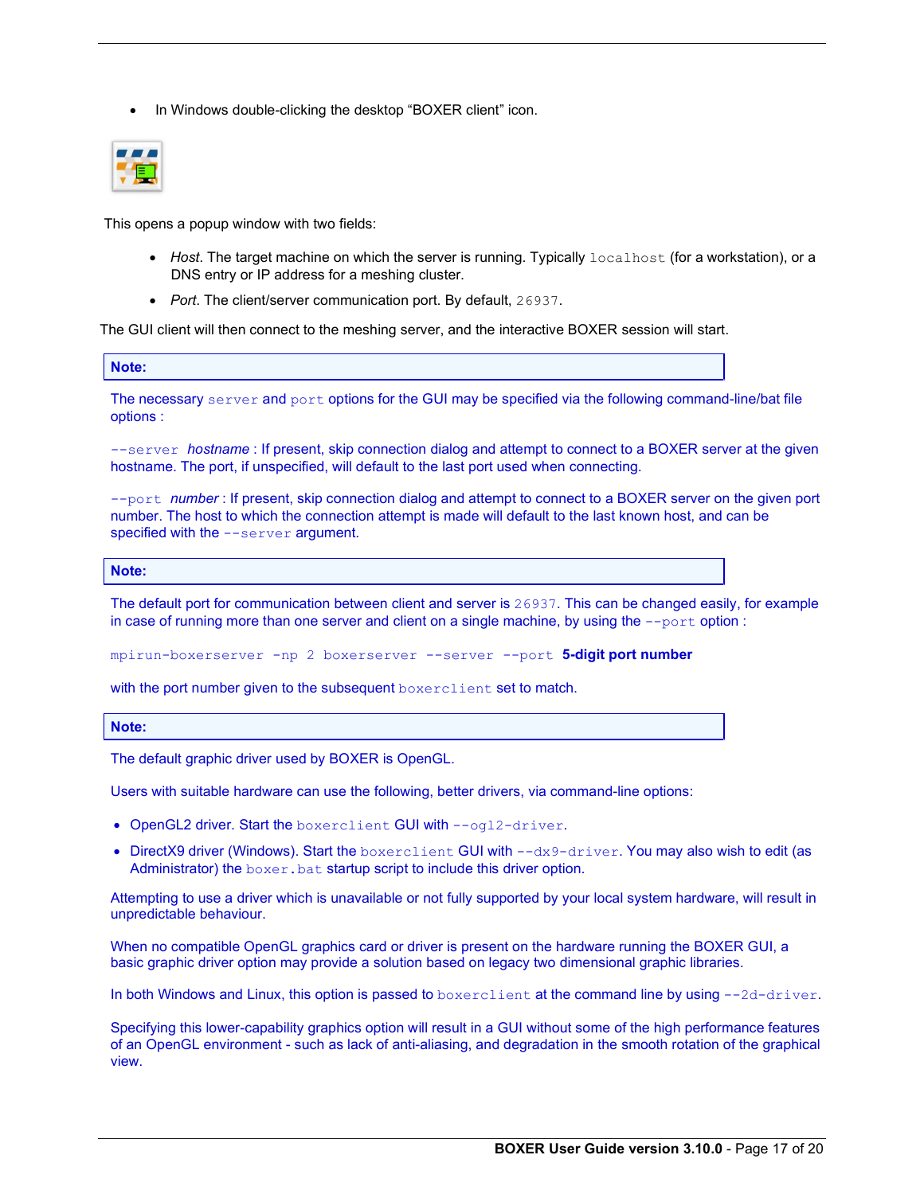• In Windows double-clicking the desktop "BOXER client" icon.



This opens a popup window with two fields:

- $\bullet$  Host. The target machine on which the server is running. Typically  $\text{localhost}$  (for a workstation), or a DNS entry or IP address for a meshing cluster.
- 

Port. The client/server communication port. By default, 26937.<br>The GUI client will then connect to the meshing server, and the interactive BOXER session will start.

Note:

The necessary server and port options for the GUI may be specified via the following command-line/bat file options :

--server hostname : If present, skip connection dialog and attempt to connect to a BOXER server at the given hostname. The port, if unspecified, will default to the last port used when connecting.

--port number: If present, skip connection dialog and attempt to connect to a BOXER server on the given port number. The host to which the connection attempt is made will default to the last known host, and can be specified with the --server argument.

# Note:

The default port for communication between client and server is 26937. This can be changed easily, for example in case of running more than one server and client on a single machine, by using the  $-$ -port option :

mpirun-boxerserver -np 2 boxerserver --server --port 5-digit port number

with the port number given to the subsequent boxerclient set to match.

#### Note:

The default graphic driver used by BOXER is OpenGL.

Users with suitable hardware can use the following, better drivers, via command-line options:

- OpenGL2 driver. Start the boxerclient GUI with --ogl2-driver.
- $\bullet$  DirectX9 driver (Windows). Start the boxerclient GUI with  $-\text{dx}$ 9-driver. You may also wish to edit (as Administrator) the boxer.bat startup script to include this driver option.

Attempting to use a driver which is unavailable or not fully supported by your local system hardware, will result in unpredictable behaviour.

When no compatible OpenGL graphics card or driver is present on the hardware running the BOXER GUI, a basic graphic driver option may provide a solution based on legacy two dimensional graphic libraries.

In both Windows and Linux, this option is passed to boxerclient at the command line by using --2d-driver.<br>Specifying this lower-capability graphics option will result in a GUI without some of the high performance features of an OpenGL environment - such as lack of anti-aliasing, and degradation in the smooth rotation of the graphical view.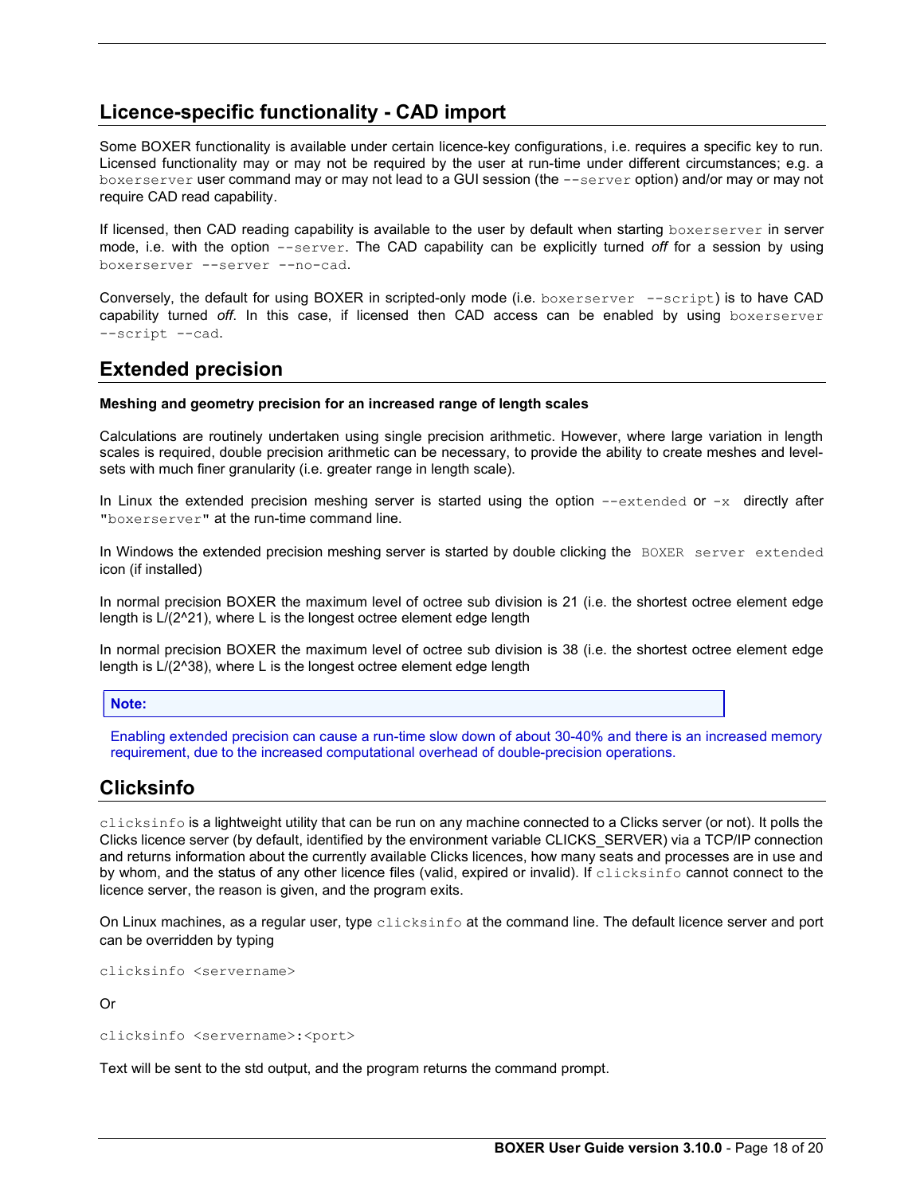# Licence-specific functionality - CAD import

Some BOXER functionality is available under certain licence-key configurations, i.e. requires a specific key to run. Licensed functionality may or may not be required by the user at run-time under different circumstances; e.g. a boxerserver user command may or may not lead to a GUI session (the --server option) and/or may or may not require CAD read capability.

If licensed, then CAD reading capability is available to the user by default when starting boxerserver in server mode, i.e. with the option --server. The CAD capability can be explicitly turned off for a session by using boxerserver --server --no-cad.

Conversely, the default for using BOXER in scripted-only mode (i.e. boxerserver --script) is to have CAD capability turned off. In this case, if licensed then CAD access can be enabled by using boxerserver --script --cad.

# Extended precision

# Meshing and geometry precision for an increased range of length scales

Calculations are routinely undertaken using single precision arithmetic. However, where large variation in length scales is required, double precision arithmetic can be necessary, to provide the ability to create meshes and levelsets with much finer granularity (i.e. greater range in length scale).

In Linux the extended precision meshing server is started using the option  $--$ extended or  $-x$  directly after "boxerserver" at the run-time command line.

In Windows the extended precision meshing server is started by double clicking the BOXER server extended icon (if installed)

In normal precision BOXER the maximum level of octree sub division is 21 (i.e. the shortest octree element edge length is L/(2^21), where L is the longest octree element edge length

In normal precision BOXER the maximum level of octree sub division is 38 (i.e. the shortest octree element edge length is L/(2^38), where L is the longest octree element edge length

### Note:

Enabling extended precision can cause a run-time slow down of about 30-40% and there is an increased memory requirement, due to the increased computational overhead of double-precision operations.

# Clicksinfo

clicksinfo is a lightweight utility that can be run on any machine connected to a Clicks server (or not). It polls the Clicks licence server (by default, identified by the environment variable CLICKS\_SERVER) via a TCP/IP connection and returns information about the currently available Clicks licences, how many seats and processes are in use and by whom, and the status of any other licence files (valid, expired or invalid). If clicksinfo cannot connect to the licence server, the reason is given, and the program exits.

On Linux machines, as a regular user, type clicksinfo at the command line. The default licence server and port can be overridden by typing

clicksinfo <servername>

Or

clicksinfo <servername>:<port>

Text will be sent to the std output, and the program returns the command prompt.